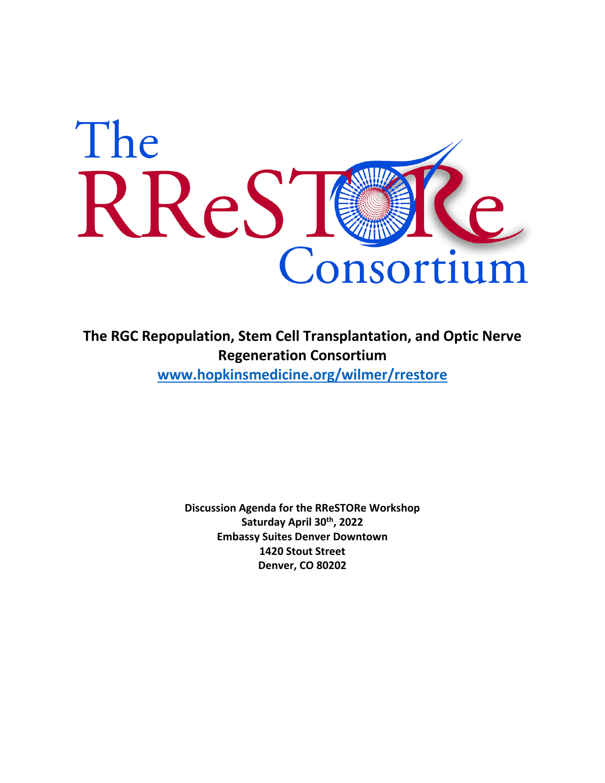

**The RGC Repopulation, Stem Cell Transplantation, and Optic Nerve Regeneration Consortium www.hopkinsmedicine.org/wilmer/rrestore**

> **Discussion Agenda for the RReSTORe Workshop Saturday April 30th, 2022 Embassy Suites Denver Downtown 1420 Stout Street Denver, CO 80202**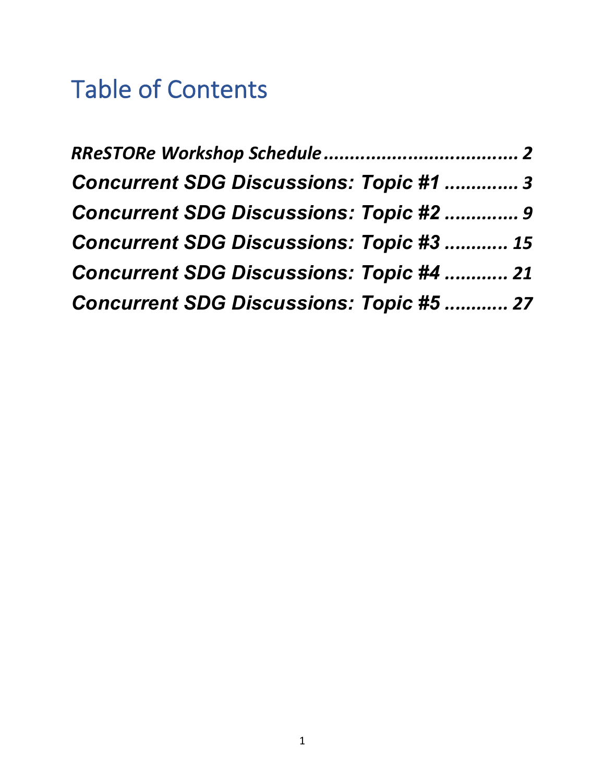# Table of Contents

| <b>Concurrent SDG Discussions: Topic #1  3</b>  |  |
|-------------------------------------------------|--|
| <b>Concurrent SDG Discussions: Topic #2  9</b>  |  |
| <b>Concurrent SDG Discussions: Topic #3  15</b> |  |
| <b>Concurrent SDG Discussions: Topic #4  21</b> |  |
| <b>Concurrent SDG Discussions: Topic #5  27</b> |  |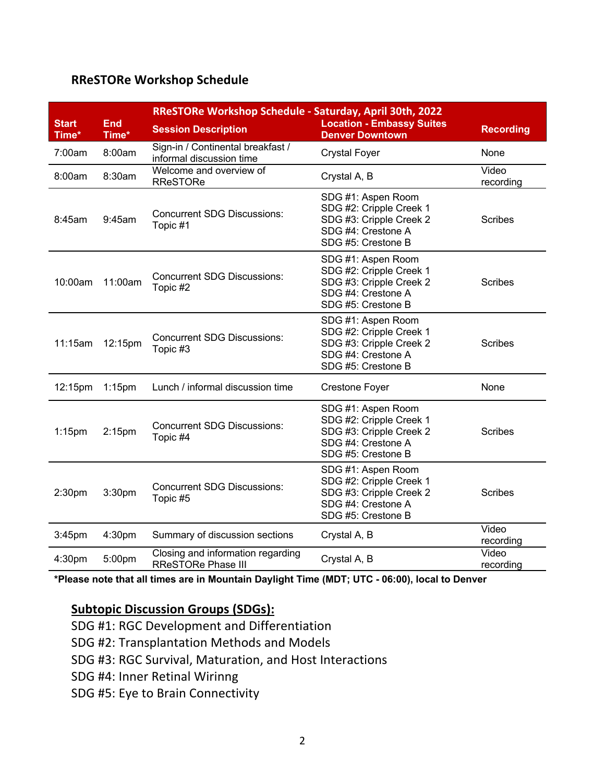#### **RReSTORe Workshop Schedule**

|                       |                     | RReSTORe Workshop Schedule - Saturday, April 30th, 2022        |                                                                                                                      |                    |  |
|-----------------------|---------------------|----------------------------------------------------------------|----------------------------------------------------------------------------------------------------------------------|--------------------|--|
| <b>Start</b><br>Time* | <b>End</b><br>Time* | <b>Session Description</b>                                     | <b>Location - Embassy Suites</b><br><b>Denver Downtown</b>                                                           | <b>Recording</b>   |  |
| 7:00am                | 8:00am              | Sign-in / Continental breakfast /<br>informal discussion time  | <b>Crystal Foyer</b>                                                                                                 | None               |  |
| 8:00am                | 8:30am              | Welcome and overview of<br><b>RReSTORe</b>                     | Crystal A, B                                                                                                         | Video<br>recording |  |
| 8:45am                | 9:45am              | <b>Concurrent SDG Discussions:</b><br>Topic #1                 | SDG #1: Aspen Room<br>SDG #2: Cripple Creek 1<br>SDG #3: Cripple Creek 2<br>SDG #4: Crestone A<br>SDG #5: Crestone B | <b>Scribes</b>     |  |
| 10:00am               | 11:00am             | <b>Concurrent SDG Discussions:</b><br>Topic #2                 | SDG #1: Aspen Room<br>SDG #2: Cripple Creek 1<br>SDG #3: Cripple Creek 2<br>SDG #4: Crestone A<br>SDG #5: Crestone B | <b>Scribes</b>     |  |
| 11:15am               | 12:15pm             | <b>Concurrent SDG Discussions:</b><br>Topic #3                 | SDG #1: Aspen Room<br>SDG #2: Cripple Creek 1<br>SDG #3: Cripple Creek 2<br>SDG #4: Crestone A<br>SDG #5: Crestone B | <b>Scribes</b>     |  |
| 12:15pm               | $1:15$ pm           | Lunch / informal discussion time                               | <b>Crestone Foyer</b>                                                                                                | None               |  |
| $1:15$ pm             | 2:15 <sub>pm</sub>  | <b>Concurrent SDG Discussions:</b><br>Topic #4                 | SDG #1: Aspen Room<br>SDG #2: Cripple Creek 1<br>SDG #3: Cripple Creek 2<br>SDG #4: Crestone A<br>SDG #5: Crestone B | <b>Scribes</b>     |  |
| 2:30 <sub>pm</sub>    | 3:30pm              | <b>Concurrent SDG Discussions:</b><br>Topic #5                 | SDG #1: Aspen Room<br>SDG #2: Cripple Creek 1<br>SDG #3: Cripple Creek 2<br>SDG #4: Crestone A<br>SDG #5: Crestone B | <b>Scribes</b>     |  |
| 3:45pm                | 4:30pm              | Summary of discussion sections                                 | Crystal A, B                                                                                                         | Video<br>recording |  |
| 4:30pm                | 5:00pm              | Closing and information regarding<br><b>RReSTORe Phase III</b> | Crystal A, B                                                                                                         | Video<br>recording |  |

**\*Please note that all times are in Mountain Daylight Time (MDT; UTC - 06:00), local to Denver**

#### **Subtopic Discussion Groups (SDGs):**

- SDG #1: RGC Development and Differentiation
- SDG #2: Transplantation Methods and Models
- SDG #3: RGC Survival, Maturation, and Host Interactions
- SDG #4: Inner Retinal Wirinng
- SDG #5: Eye to Brain Connectivity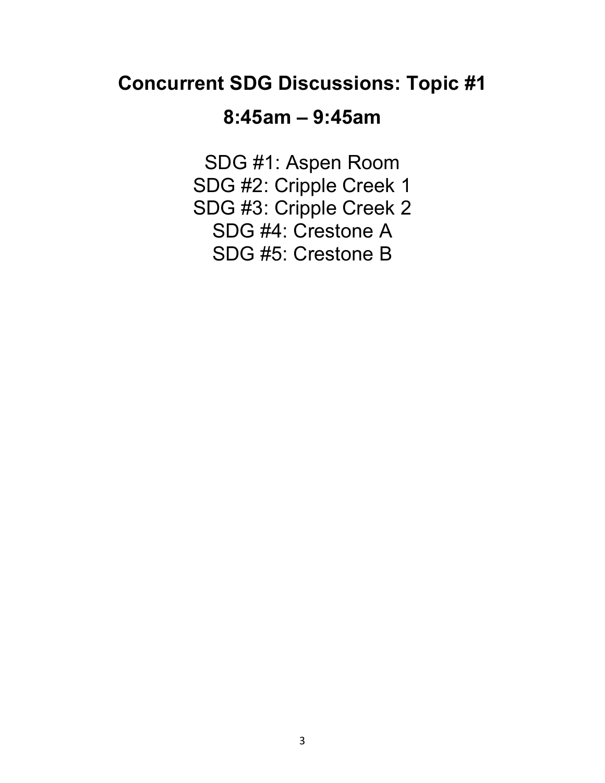### **Concurrent SDG Discussions: Topic #1**

### **8:45am – 9:45am**

SDG #1: Aspen Room SDG #2: Cripple Creek 1 SDG #3: Cripple Creek 2 SDG #4: Crestone A SDG #5: Crestone B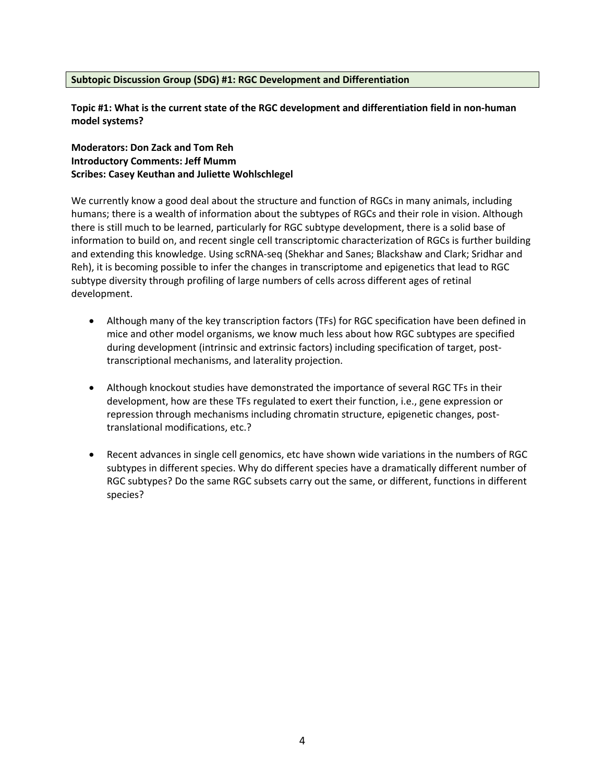#### **Subtopic Discussion Group (SDG) #1: RGC Development and Differentiation**

**Topic #1: What is the current state of the RGC development and differentiation field in non-human model systems?**

**Moderators: Don Zack and Tom Reh Introductory Comments: Jeff Mumm Scribes: Casey Keuthan and Juliette Wohlschlegel**

We currently know a good deal about the structure and function of RGCs in many animals, including humans; there is a wealth of information about the subtypes of RGCs and their role in vision. Although there is still much to be learned, particularly for RGC subtype development, there is a solid base of information to build on, and recent single cell transcriptomic characterization of RGCs is further building and extending this knowledge. Using scRNA-seq (Shekhar and Sanes; Blackshaw and Clark; Sridhar and Reh), it is becoming possible to infer the changes in transcriptome and epigenetics that lead to RGC subtype diversity through profiling of large numbers of cells across different ages of retinal development.

- Although many of the key transcription factors (TFs) for RGC specification have been defined in mice and other model organisms, we know much less about how RGC subtypes are specified during development (intrinsic and extrinsic factors) including specification of target, posttranscriptional mechanisms, and laterality projection.
- Although knockout studies have demonstrated the importance of several RGC TFs in their development, how are these TFs regulated to exert their function, i.e., gene expression or repression through mechanisms including chromatin structure, epigenetic changes, posttranslational modifications, etc.?
- Recent advances in single cell genomics, etc have shown wide variations in the numbers of RGC subtypes in different species. Why do different species have a dramatically different number of RGC subtypes? Do the same RGC subsets carry out the same, or different, functions in different species?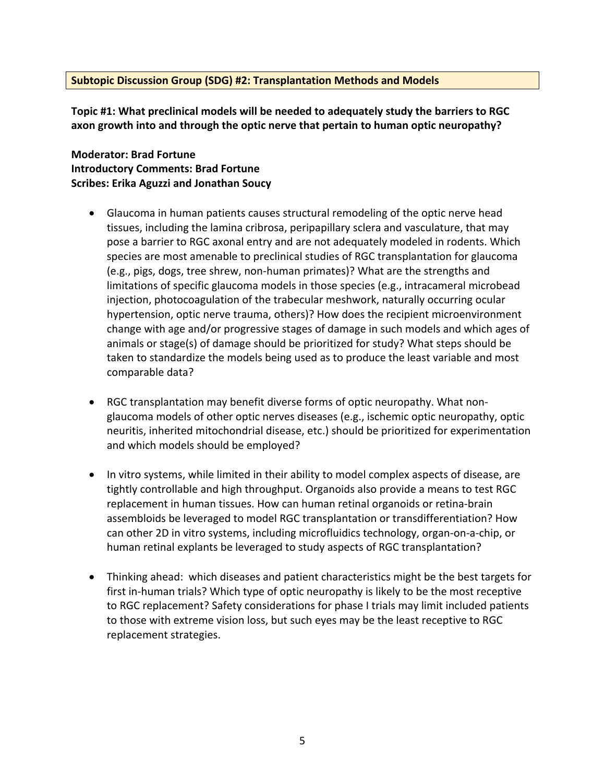#### **Subtopic Discussion Group (SDG) #2: Transplantation Methods and Models**

**Topic #1: What preclinical models will be needed to adequately study the barriers to RGC axon growth into and through the optic nerve that pertain to human optic neuropathy?**

#### **Moderator: Brad Fortune Introductory Comments: Brad Fortune Scribes: Erika Aguzzi and Jonathan Soucy**

- Glaucoma in human patients causes structural remodeling of the optic nerve head tissues, including the lamina cribrosa, peripapillary sclera and vasculature, that may pose a barrier to RGC axonal entry and are not adequately modeled in rodents. Which species are most amenable to preclinical studies of RGC transplantation for glaucoma (e.g., pigs, dogs, tree shrew, non-human primates)? What are the strengths and limitations of specific glaucoma models in those species (e.g., intracameral microbead injection, photocoagulation of the trabecular meshwork, naturally occurring ocular hypertension, optic nerve trauma, others)? How does the recipient microenvironment change with age and/or progressive stages of damage in such models and which ages of animals or stage(s) of damage should be prioritized for study? What steps should be taken to standardize the models being used as to produce the least variable and most comparable data?
- RGC transplantation may benefit diverse forms of optic neuropathy. What nonglaucoma models of other optic nerves diseases (e.g., ischemic optic neuropathy, optic neuritis, inherited mitochondrial disease, etc.) should be prioritized for experimentation and which models should be employed?
- In vitro systems, while limited in their ability to model complex aspects of disease, are tightly controllable and high throughput. Organoids also provide a means to test RGC replacement in human tissues. How can human retinal organoids or retina-brain assembloids be leveraged to model RGC transplantation or transdifferentiation? How can other 2D in vitro systems, including microfluidics technology, organ-on-a-chip, or human retinal explants be leveraged to study aspects of RGC transplantation?
- Thinking ahead: which diseases and patient characteristics might be the best targets for first in-human trials? Which type of optic neuropathy is likely to be the most receptive to RGC replacement? Safety considerations for phase I trials may limit included patients to those with extreme vision loss, but such eyes may be the least receptive to RGC replacement strategies.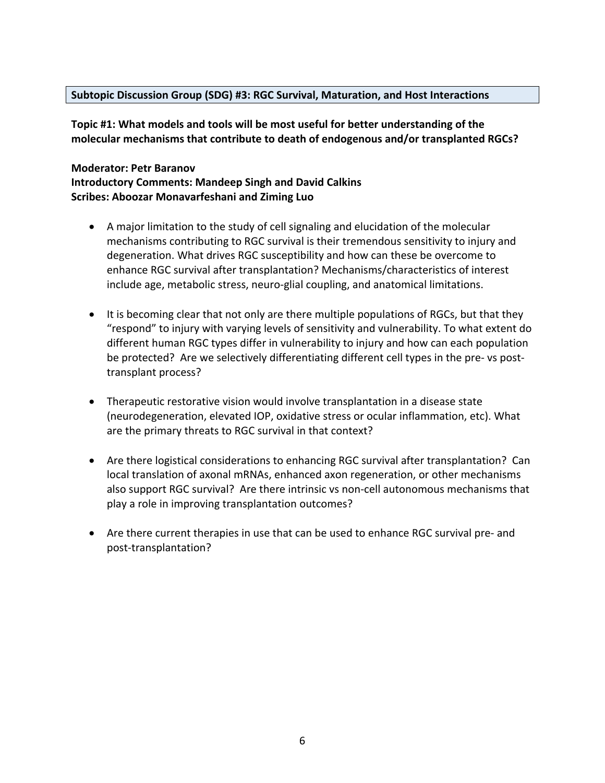#### **Subtopic Discussion Group (SDG) #3: RGC Survival, Maturation, and Host Interactions**

**Topic #1: What models and tools will be most useful for better understanding of the molecular mechanisms that contribute to death of endogenous and/or transplanted RGCs?**

#### **Moderator: Petr Baranov Introductory Comments: Mandeep Singh and David Calkins Scribes: Aboozar Monavarfeshani and Ziming Luo**

- A major limitation to the study of cell signaling and elucidation of the molecular mechanisms contributing to RGC survival is their tremendous sensitivity to injury and degeneration. What drives RGC susceptibility and how can these be overcome to enhance RGC survival after transplantation? Mechanisms/characteristics of interest include age, metabolic stress, neuro-glial coupling, and anatomical limitations.
- It is becoming clear that not only are there multiple populations of RGCs, but that they "respond" to injury with varying levels of sensitivity and vulnerability. To what extent do different human RGC types differ in vulnerability to injury and how can each population be protected? Are we selectively differentiating different cell types in the pre- vs posttransplant process?
- Therapeutic restorative vision would involve transplantation in a disease state (neurodegeneration, elevated IOP, oxidative stress or ocular inflammation, etc). What are the primary threats to RGC survival in that context?
- Are there logistical considerations to enhancing RGC survival after transplantation? Can local translation of axonal mRNAs, enhanced axon regeneration, or other mechanisms also support RGC survival? Are there intrinsic vs non-cell autonomous mechanisms that play a role in improving transplantation outcomes?
- Are there current therapies in use that can be used to enhance RGC survival pre- and post-transplantation?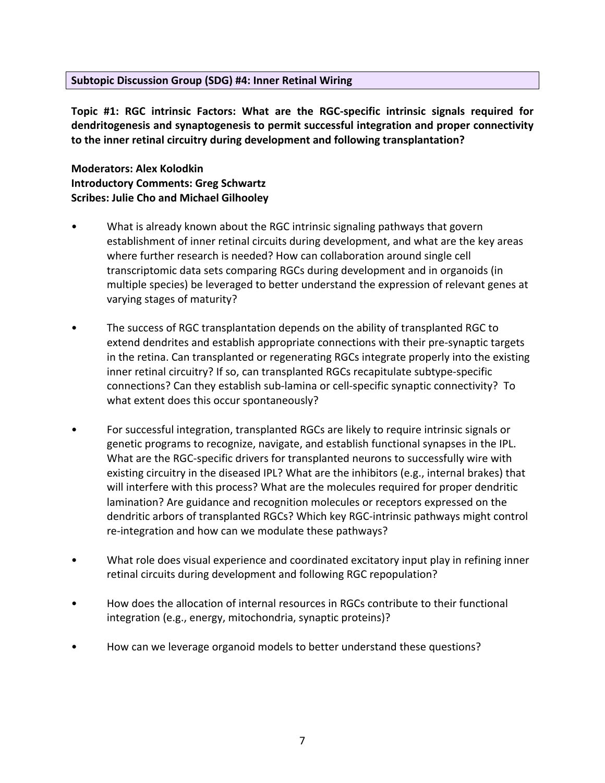#### **Subtopic Discussion Group (SDG) #4: Inner Retinal Wiring**

**Topic #1: RGC intrinsic Factors: What are the RGC-specific intrinsic signals required for dendritogenesis and synaptogenesis to permit successful integration and proper connectivity to the inner retinal circuitry during development and following transplantation?**

**Moderators: Alex Kolodkin Introductory Comments: Greg Schwartz Scribes: Julie Cho and Michael Gilhooley**

- What is already known about the RGC intrinsic signaling pathways that govern establishment of inner retinal circuits during development, and what are the key areas where further research is needed? How can collaboration around single cell transcriptomic data sets comparing RGCs during development and in organoids (in multiple species) be leveraged to better understand the expression of relevant genes at varying stages of maturity?
- The success of RGC transplantation depends on the ability of transplanted RGC to extend dendrites and establish appropriate connections with their pre-synaptic targets in the retina. Can transplanted or regenerating RGCs integrate properly into the existing inner retinal circuitry? If so, can transplanted RGCs recapitulate subtype-specific connections? Can they establish sub-lamina or cell-specific synaptic connectivity? To what extent does this occur spontaneously?
- For successful integration, transplanted RGCs are likely to require intrinsic signals or genetic programs to recognize, navigate, and establish functional synapses in the IPL. What are the RGC-specific drivers for transplanted neurons to successfully wire with existing circuitry in the diseased IPL? What are the inhibitors (e.g., internal brakes) that will interfere with this process? What are the molecules required for proper dendritic lamination? Are guidance and recognition molecules or receptors expressed on the dendritic arbors of transplanted RGCs? Which key RGC-intrinsic pathways might control re-integration and how can we modulate these pathways?
- What role does visual experience and coordinated excitatory input play in refining inner retinal circuits during development and following RGC repopulation?
- How does the allocation of internal resources in RGCs contribute to their functional integration (e.g., energy, mitochondria, synaptic proteins)?
- How can we leverage organoid models to better understand these questions?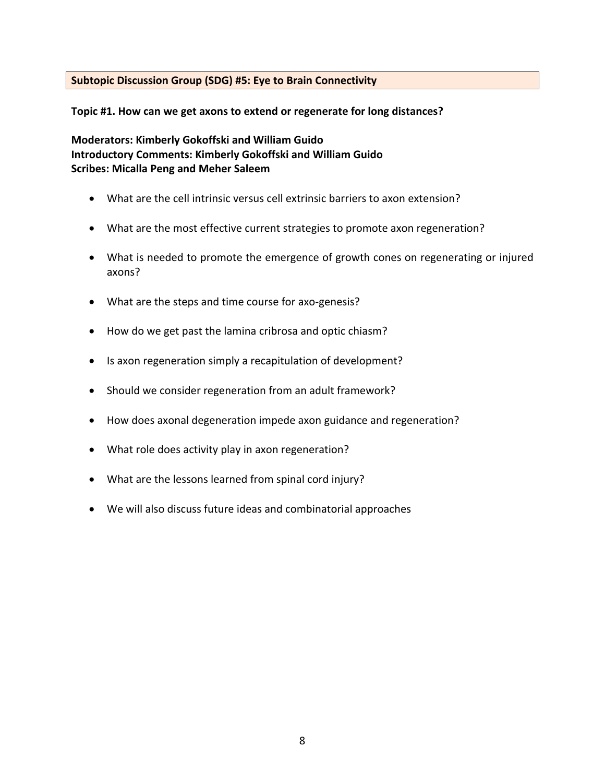#### **Subtopic Discussion Group (SDG) #5: Eye to Brain Connectivity**

**Topic #1. How can we get axons to extend or regenerate for long distances?**

**Moderators: Kimberly Gokoffski and William Guido Introductory Comments: Kimberly Gokoffski and William Guido Scribes: Micalla Peng and Meher Saleem**

- What are the cell intrinsic versus cell extrinsic barriers to axon extension?
- What are the most effective current strategies to promote axon regeneration?
- What is needed to promote the emergence of growth cones on regenerating or injured axons?
- What are the steps and time course for axo-genesis?
- How do we get past the lamina cribrosa and optic chiasm?
- Is axon regeneration simply a recapitulation of development?
- Should we consider regeneration from an adult framework?
- How does axonal degeneration impede axon guidance and regeneration?
- What role does activity play in axon regeneration?
- What are the lessons learned from spinal cord injury?
- We will also discuss future ideas and combinatorial approaches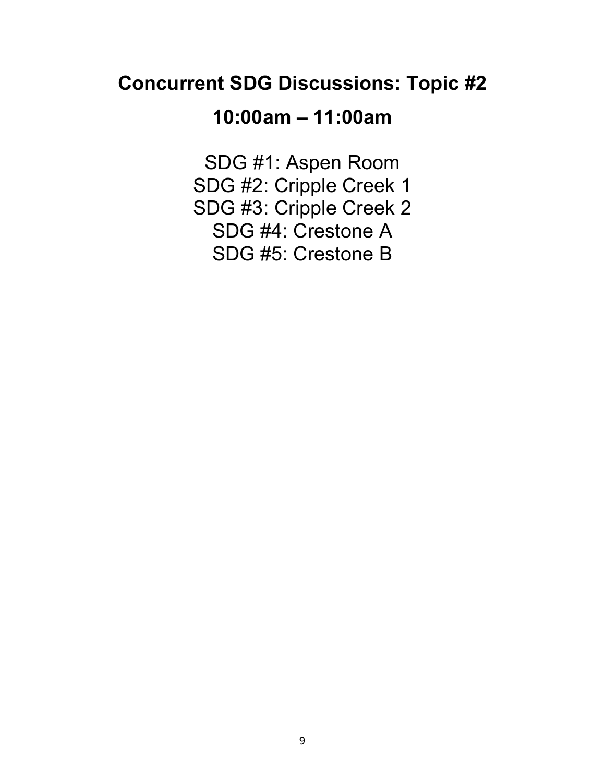## **Concurrent SDG Discussions: Topic #2**

# **10:00am – 11:00am**

SDG #1: Aspen Room SDG #2: Cripple Creek 1 SDG #3: Cripple Creek 2 SDG #4: Crestone A SDG #5: Crestone B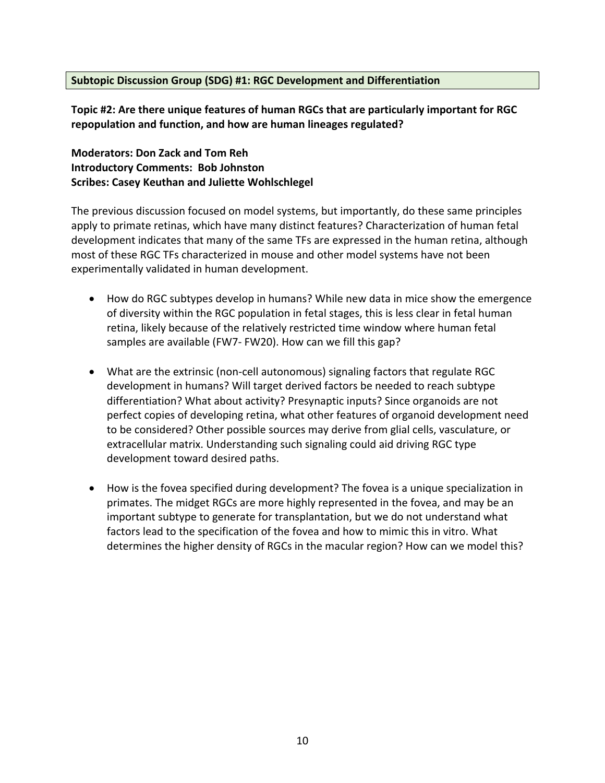#### **Subtopic Discussion Group (SDG) #1: RGC Development and Differentiation**

**Topic #2: Are there unique features of human RGCs that are particularly important for RGC repopulation and function, and how are human lineages regulated?** 

#### **Moderators: Don Zack and Tom Reh Introductory Comments: Bob Johnston Scribes: Casey Keuthan and Juliette Wohlschlegel**

The previous discussion focused on model systems, but importantly, do these same principles apply to primate retinas, which have many distinct features? Characterization of human fetal development indicates that many of the same TFs are expressed in the human retina, although most of these RGC TFs characterized in mouse and other model systems have not been experimentally validated in human development.

- How do RGC subtypes develop in humans? While new data in mice show the emergence of diversity within the RGC population in fetal stages, this is less clear in fetal human retina, likely because of the relatively restricted time window where human fetal samples are available (FW7- FW20). How can we fill this gap?
- What are the extrinsic (non-cell autonomous) signaling factors that regulate RGC development in humans? Will target derived factors be needed to reach subtype differentiation? What about activity? Presynaptic inputs? Since organoids are not perfect copies of developing retina, what other features of organoid development need to be considered? Other possible sources may derive from glial cells, vasculature, or extracellular matrix. Understanding such signaling could aid driving RGC type development toward desired paths.
- How is the fovea specified during development? The fovea is a unique specialization in primates. The midget RGCs are more highly represented in the fovea, and may be an important subtype to generate for transplantation, but we do not understand what factors lead to the specification of the fovea and how to mimic this in vitro. What determines the higher density of RGCs in the macular region? How can we model this?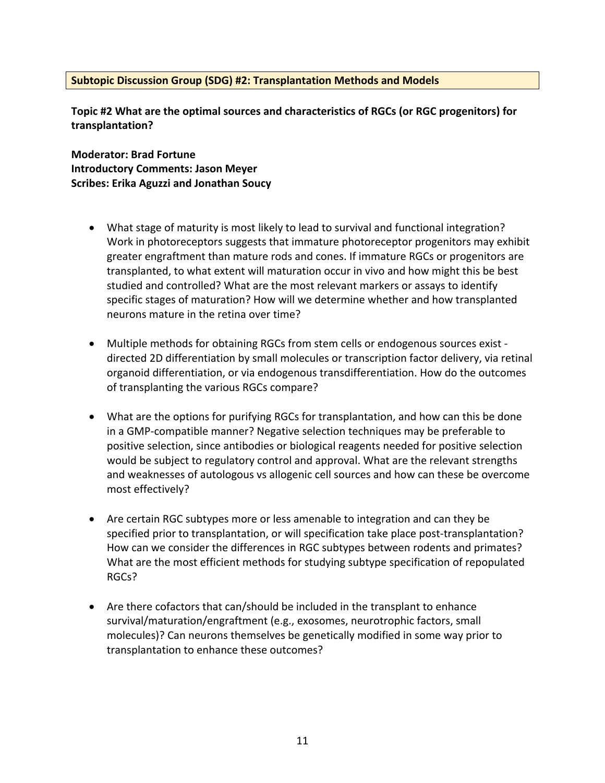#### **Subtopic Discussion Group (SDG) #2: Transplantation Methods and Models**

**Topic #2 What are the optimal sources and characteristics of RGCs (or RGC progenitors) for transplantation?**

**Moderator: Brad Fortune Introductory Comments: Jason Meyer Scribes: Erika Aguzzi and Jonathan Soucy**

- What stage of maturity is most likely to lead to survival and functional integration? Work in photoreceptors suggests that immature photoreceptor progenitors may exhibit greater engraftment than mature rods and cones. If immature RGCs or progenitors are transplanted, to what extent will maturation occur in vivo and how might this be best studied and controlled? What are the most relevant markers or assays to identify specific stages of maturation? How will we determine whether and how transplanted neurons mature in the retina over time?
- Multiple methods for obtaining RGCs from stem cells or endogenous sources exist directed 2D differentiation by small molecules or transcription factor delivery, via retinal organoid differentiation, or via endogenous transdifferentiation. How do the outcomes of transplanting the various RGCs compare?
- What are the options for purifying RGCs for transplantation, and how can this be done in a GMP-compatible manner? Negative selection techniques may be preferable to positive selection, since antibodies or biological reagents needed for positive selection would be subject to regulatory control and approval. What are the relevant strengths and weaknesses of autologous vs allogenic cell sources and how can these be overcome most effectively?
- Are certain RGC subtypes more or less amenable to integration and can they be specified prior to transplantation, or will specification take place post-transplantation? How can we consider the differences in RGC subtypes between rodents and primates? What are the most efficient methods for studying subtype specification of repopulated RGCs?
- Are there cofactors that can/should be included in the transplant to enhance survival/maturation/engraftment (e.g., exosomes, neurotrophic factors, small molecules)? Can neurons themselves be genetically modified in some way prior to transplantation to enhance these outcomes?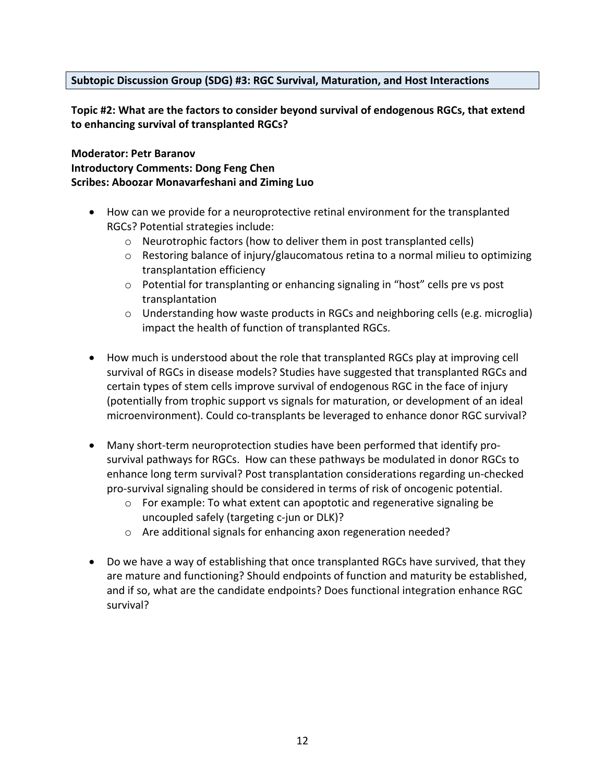#### **Subtopic Discussion Group (SDG) #3: RGC Survival, Maturation, and Host Interactions**

**Topic #2: What are the factors to consider beyond survival of endogenous RGCs, that extend to enhancing survival of transplanted RGCs?**

**Moderator: Petr Baranov Introductory Comments: Dong Feng Chen Scribes: Aboozar Monavarfeshani and Ziming Luo**

- How can we provide for a neuroprotective retinal environment for the transplanted RGCs? Potential strategies include:
	- o Neurotrophic factors (how to deliver them in post transplanted cells)
	- o Restoring balance of injury/glaucomatous retina to a normal milieu to optimizing transplantation efficiency
	- $\circ$  Potential for transplanting or enhancing signaling in "host" cells pre vs post transplantation
	- $\circ$  Understanding how waste products in RGCs and neighboring cells (e.g. microglia) impact the health of function of transplanted RGCs.
- How much is understood about the role that transplanted RGCs play at improving cell survival of RGCs in disease models? Studies have suggested that transplanted RGCs and certain types of stem cells improve survival of endogenous RGC in the face of injury (potentially from trophic support vs signals for maturation, or development of an ideal microenvironment). Could co-transplants be leveraged to enhance donor RGC survival?
- Many short-term neuroprotection studies have been performed that identify prosurvival pathways for RGCs. How can these pathways be modulated in donor RGCs to enhance long term survival? Post transplantation considerations regarding un-checked pro-survival signaling should be considered in terms of risk of oncogenic potential.
	- o For example: To what extent can apoptotic and regenerative signaling be uncoupled safely (targeting c-jun or DLK)?
	- o Are additional signals for enhancing axon regeneration needed?
- Do we have a way of establishing that once transplanted RGCs have survived, that they are mature and functioning? Should endpoints of function and maturity be established, and if so, what are the candidate endpoints? Does functional integration enhance RGC survival?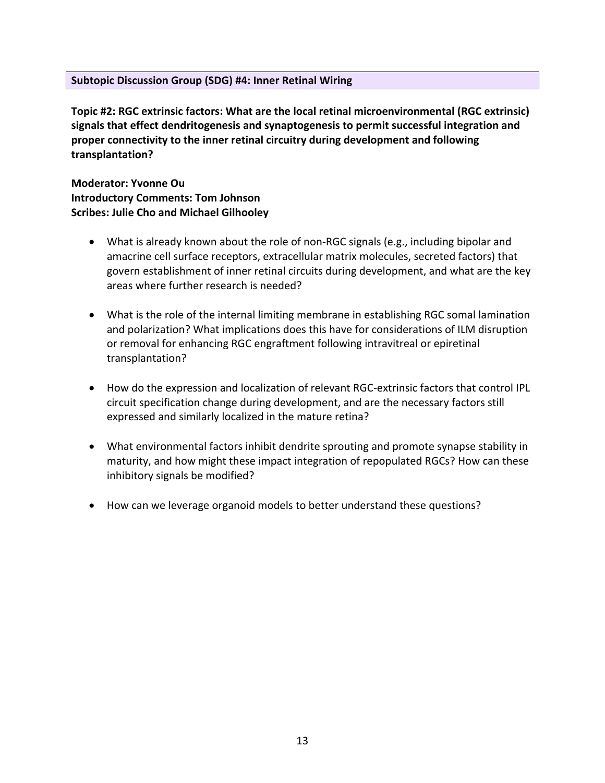#### **Subtopic Discussion Group (SDG) #4: Inner Retinal Wiring**

**Topic #2: RGC extrinsic factors: What are the local retinal microenvironmental (RGC extrinsic) signals that effect dendritogenesis and synaptogenesis to permit successful integration and proper connectivity to the inner retinal circuitry during development and following transplantation?** 

**Moderator: Yvonne Ou Introductory Comments: Tom Johnson Scribes: Julie Cho and Michael Gilhooley**

- What is already known about the role of non-RGC signals (e.g., including bipolar and amacrine cell surface receptors, extracellular matrix molecules, secreted factors) that govern establishment of inner retinal circuits during development, and what are the key areas where further research is needed?
- What is the role of the internal limiting membrane in establishing RGC somal lamination and polarization? What implications does this have for considerations of ILM disruption or removal for enhancing RGC engraftment following intravitreal or epiretinal transplantation?
- How do the expression and localization of relevant RGC-extrinsic factors that control IPL circuit specification change during development, and are the necessary factors still expressed and similarly localized in the mature retina?
- What environmental factors inhibit dendrite sprouting and promote synapse stability in maturity, and how might these impact integration of repopulated RGCs? How can these inhibitory signals be modified?
- How can we leverage organoid models to better understand these questions?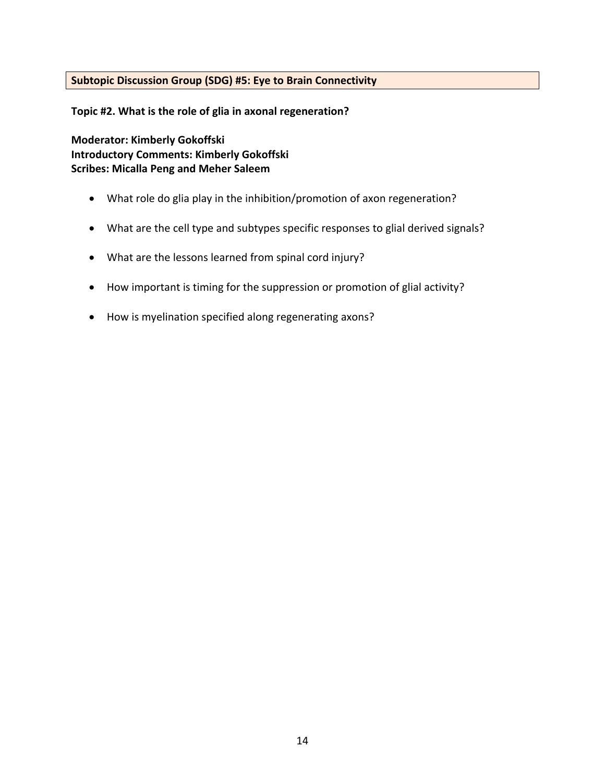#### **Subtopic Discussion Group (SDG) #5: Eye to Brain Connectivity**

**Topic #2. What is the role of glia in axonal regeneration?**

**Moderator: Kimberly Gokoffski Introductory Comments: Kimberly Gokoffski Scribes: Micalla Peng and Meher Saleem**

- What role do glia play in the inhibition/promotion of axon regeneration?
- What are the cell type and subtypes specific responses to glial derived signals?
- What are the lessons learned from spinal cord injury?
- How important is timing for the suppression or promotion of glial activity?
- How is myelination specified along regenerating axons?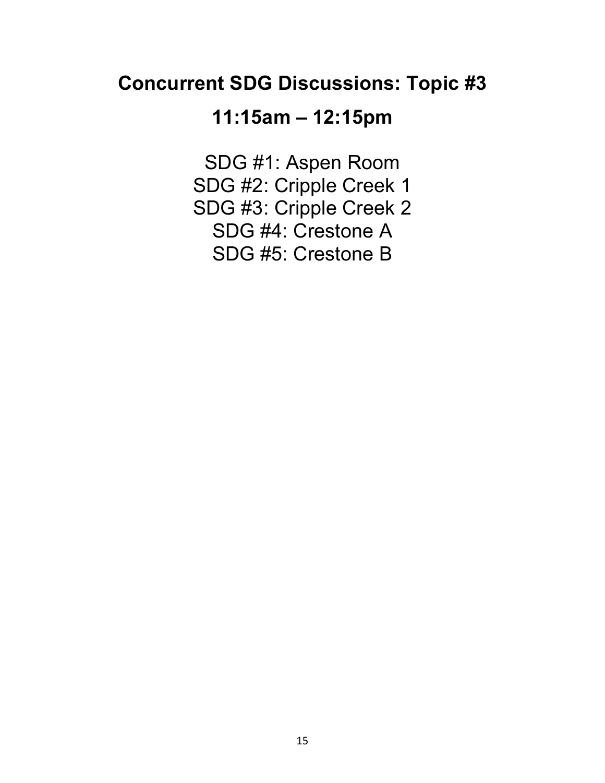## **Concurrent SDG Discussions: Topic #3**

### **11:15am – 12:15pm**

SDG #1: Aspen Room SDG #2: Cripple Creek 1 SDG #3: Cripple Creek 2 SDG #4: Crestone A SDG #5: Crestone B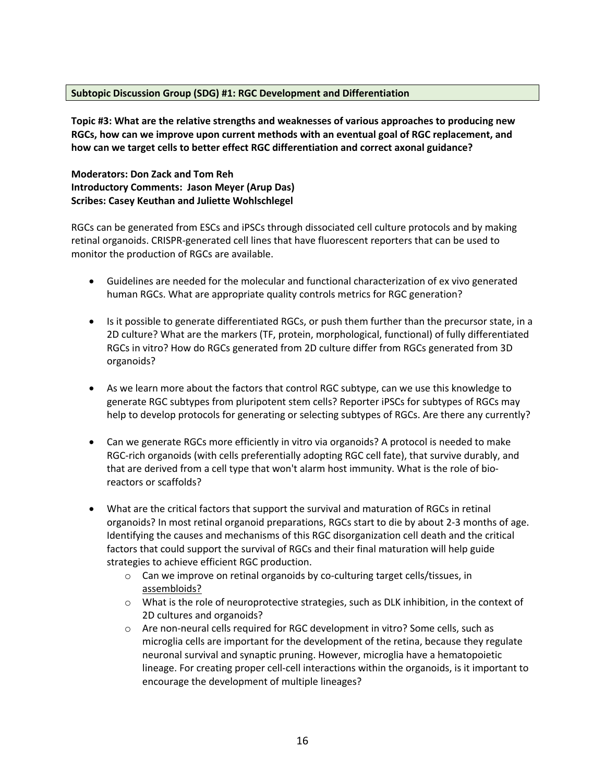#### **Subtopic Discussion Group (SDG) #1: RGC Development and Differentiation**

**Topic #3: What are the relative strengths and weaknesses of various approaches to producing new RGCs, how can we improve upon current methods with an eventual goal of RGC replacement, and how can we target cells to better effect RGC differentiation and correct axonal guidance?**

**Moderators: Don Zack and Tom Reh Introductory Comments: Jason Meyer (Arup Das) Scribes: Casey Keuthan and Juliette Wohlschlegel**

RGCs can be generated from ESCs and iPSCs through dissociated cell culture protocols and by making retinal organoids. CRISPR-generated cell lines that have fluorescent reporters that can be used to monitor the production of RGCs are available.

- Guidelines are needed for the molecular and functional characterization of ex vivo generated human RGCs. What are appropriate quality controls metrics for RGC generation?
- Is it possible to generate differentiated RGCs, or push them further than the precursor state, in a 2D culture? What are the markers (TF, protein, morphological, functional) of fully differentiated RGCs in vitro? How do RGCs generated from 2D culture differ from RGCs generated from 3D organoids?
- As we learn more about the factors that control RGC subtype, can we use this knowledge to generate RGC subtypes from pluripotent stem cells? Reporter iPSCs for subtypes of RGCs may help to develop protocols for generating or selecting subtypes of RGCs. Are there any currently?
- Can we generate RGCs more efficiently in vitro via organoids? A protocol is needed to make RGC-rich organoids (with cells preferentially adopting RGC cell fate), that survive durably, and that are derived from a cell type that won't alarm host immunity. What is the role of bioreactors or scaffolds?
- What are the critical factors that support the survival and maturation of RGCs in retinal organoids? In most retinal organoid preparations, RGCs start to die by about 2-3 months of age. Identifying the causes and mechanisms of this RGC disorganization cell death and the critical factors that could support the survival of RGCs and their final maturation will help guide strategies to achieve efficient RGC production.
	- o Can we improve on retinal organoids by co-culturing target cells/tissues, in assembloids?
	- $\circ$  What is the role of neuroprotective strategies, such as DLK inhibition, in the context of 2D cultures and organoids?
	- o Are non-neural cells required for RGC development in vitro? Some cells, such as microglia cells are important for the development of the retina, because they regulate neuronal survival and synaptic pruning. However, microglia have a hematopoietic lineage. For creating proper cell-cell interactions within the organoids, is it important to encourage the development of multiple lineages?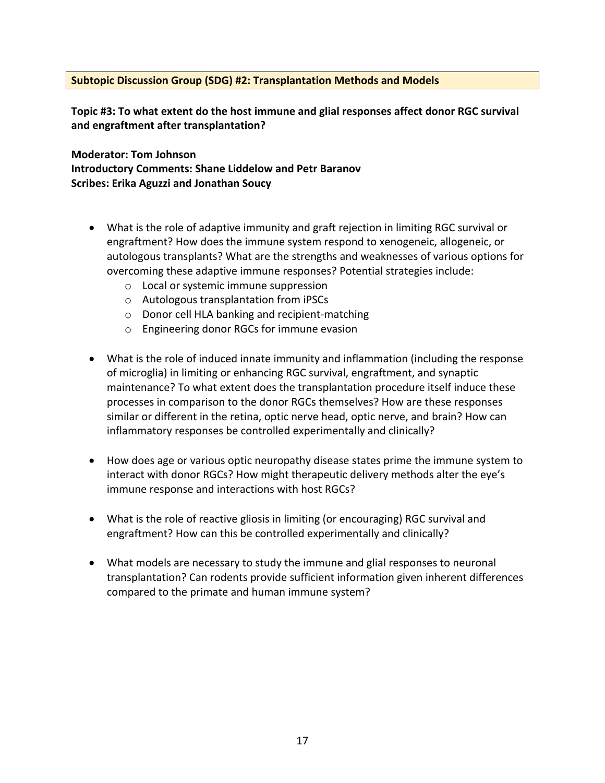#### **Subtopic Discussion Group (SDG) #2: Transplantation Methods and Models**

**Topic #3: To what extent do the host immune and glial responses affect donor RGC survival and engraftment after transplantation?**

**Moderator: Tom Johnson Introductory Comments: Shane Liddelow and Petr Baranov Scribes: Erika Aguzzi and Jonathan Soucy**

- What is the role of adaptive immunity and graft rejection in limiting RGC survival or engraftment? How does the immune system respond to xenogeneic, allogeneic, or autologous transplants? What are the strengths and weaknesses of various options for overcoming these adaptive immune responses? Potential strategies include:
	- o Local or systemic immune suppression
	- o Autologous transplantation from iPSCs
	- o Donor cell HLA banking and recipient-matching
	- o Engineering donor RGCs for immune evasion
- What is the role of induced innate immunity and inflammation (including the response of microglia) in limiting or enhancing RGC survival, engraftment, and synaptic maintenance? To what extent does the transplantation procedure itself induce these processes in comparison to the donor RGCs themselves? How are these responses similar or different in the retina, optic nerve head, optic nerve, and brain? How can inflammatory responses be controlled experimentally and clinically?
- How does age or various optic neuropathy disease states prime the immune system to interact with donor RGCs? How might therapeutic delivery methods alter the eye's immune response and interactions with host RGCs?
- What is the role of reactive gliosis in limiting (or encouraging) RGC survival and engraftment? How can this be controlled experimentally and clinically?
- What models are necessary to study the immune and glial responses to neuronal transplantation? Can rodents provide sufficient information given inherent differences compared to the primate and human immune system?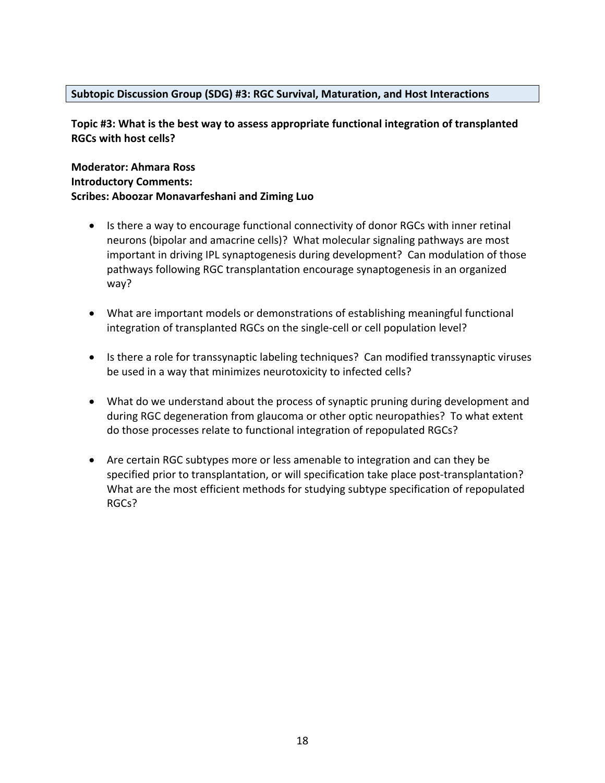#### **Subtopic Discussion Group (SDG) #3: RGC Survival, Maturation, and Host Interactions**

**Topic #3: What is the best way to assess appropriate functional integration of transplanted RGCs with host cells?** 

#### **Moderator: Ahmara Ross Introductory Comments: Scribes: Aboozar Monavarfeshani and Ziming Luo**

- Is there a way to encourage functional connectivity of donor RGCs with inner retinal neurons (bipolar and amacrine cells)? What molecular signaling pathways are most important in driving IPL synaptogenesis during development? Can modulation of those pathways following RGC transplantation encourage synaptogenesis in an organized way?
- What are important models or demonstrations of establishing meaningful functional integration of transplanted RGCs on the single-cell or cell population level?
- Is there a role for transsynaptic labeling techniques? Can modified transsynaptic viruses be used in a way that minimizes neurotoxicity to infected cells?
- What do we understand about the process of synaptic pruning during development and during RGC degeneration from glaucoma or other optic neuropathies? To what extent do those processes relate to functional integration of repopulated RGCs?
- Are certain RGC subtypes more or less amenable to integration and can they be specified prior to transplantation, or will specification take place post-transplantation? What are the most efficient methods for studying subtype specification of repopulated RGCs?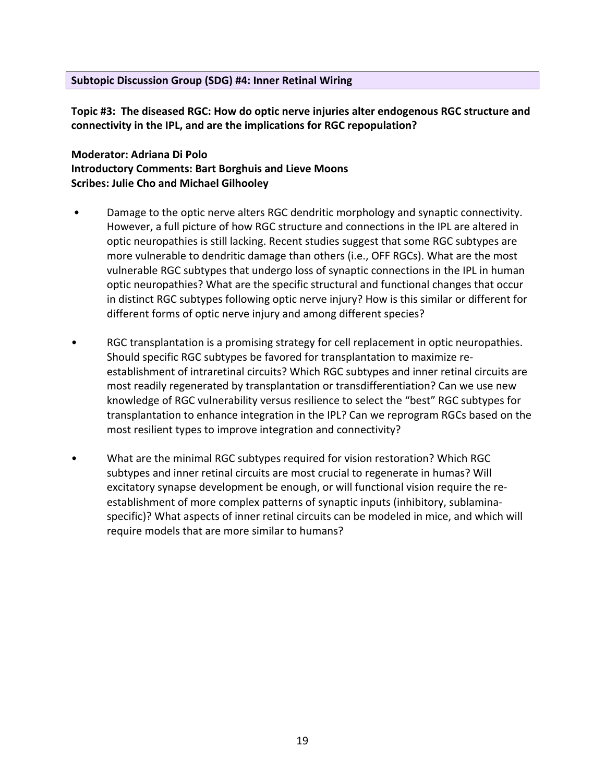#### **Subtopic Discussion Group (SDG) #4: Inner Retinal Wiring**

**Topic #3: The diseased RGC: How do optic nerve injuries alter endogenous RGC structure and connectivity in the IPL, and are the implications for RGC repopulation?**

#### **Moderator: Adriana Di Polo Introductory Comments: Bart Borghuis and Lieve Moons Scribes: Julie Cho and Michael Gilhooley**

- Damage to the optic nerve alters RGC dendritic morphology and synaptic connectivity. However, a full picture of how RGC structure and connections in the IPL are altered in optic neuropathies is still lacking. Recent studies suggest that some RGC subtypes are more vulnerable to dendritic damage than others (i.e., OFF RGCs). What are the most vulnerable RGC subtypes that undergo loss of synaptic connections in the IPL in human optic neuropathies? What are the specific structural and functional changes that occur in distinct RGC subtypes following optic nerve injury? How is this similar or different for different forms of optic nerve injury and among different species?
- RGC transplantation is a promising strategy for cell replacement in optic neuropathies. Should specific RGC subtypes be favored for transplantation to maximize reestablishment of intraretinal circuits? Which RGC subtypes and inner retinal circuits are most readily regenerated by transplantation or transdifferentiation? Can we use new knowledge of RGC vulnerability versus resilience to select the "best" RGC subtypes for transplantation to enhance integration in the IPL? Can we reprogram RGCs based on the most resilient types to improve integration and connectivity?
- What are the minimal RGC subtypes required for vision restoration? Which RGC subtypes and inner retinal circuits are most crucial to regenerate in humas? Will excitatory synapse development be enough, or will functional vision require the reestablishment of more complex patterns of synaptic inputs (inhibitory, sublaminaspecific)? What aspects of inner retinal circuits can be modeled in mice, and which will require models that are more similar to humans?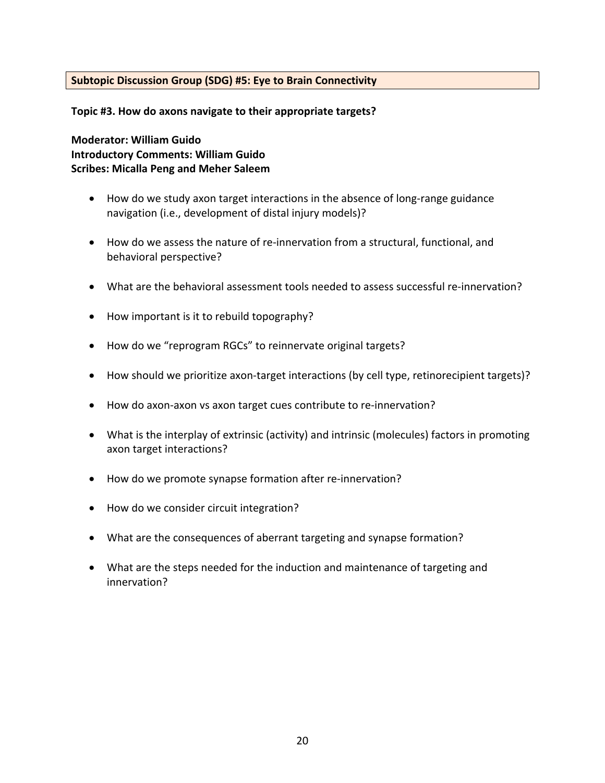#### **Subtopic Discussion Group (SDG) #5: Eye to Brain Connectivity**

**Topic #3. How do axons navigate to their appropriate targets?**

**Moderator: William Guido Introductory Comments: William Guido Scribes: Micalla Peng and Meher Saleem**

- How do we study axon target interactions in the absence of long-range guidance navigation (i.e., development of distal injury models)?
- How do we assess the nature of re-innervation from a structural, functional, and behavioral perspective?
- What are the behavioral assessment tools needed to assess successful re-innervation?
- How important is it to rebuild topography?
- How do we "reprogram RGCs" to reinnervate original targets?
- How should we prioritize axon-target interactions (by cell type, retinorecipient targets)?
- How do axon-axon vs axon target cues contribute to re-innervation?
- What is the interplay of extrinsic (activity) and intrinsic (molecules) factors in promoting axon target interactions?
- How do we promote synapse formation after re-innervation?
- How do we consider circuit integration?
- What are the consequences of aberrant targeting and synapse formation?
- What are the steps needed for the induction and maintenance of targeting and innervation?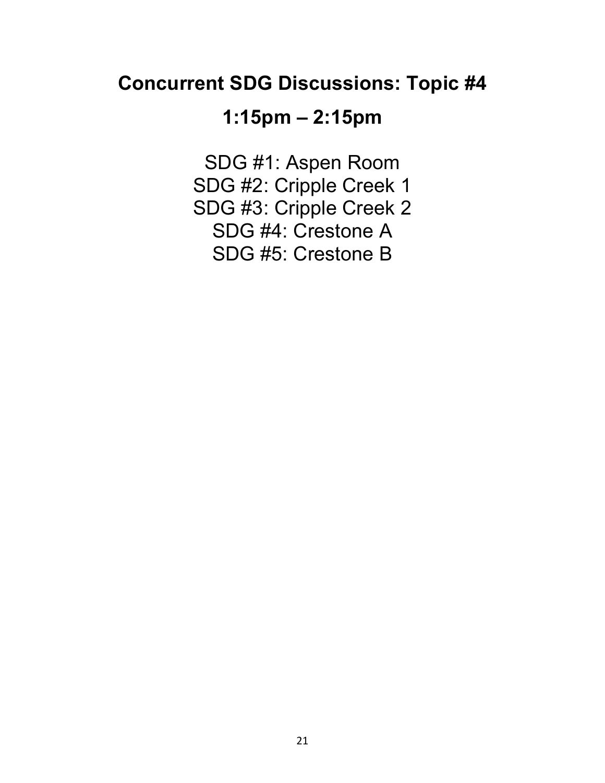## **Concurrent SDG Discussions: Topic #4**

# **1:15pm – 2:15pm**

SDG #1: Aspen Room SDG #2: Cripple Creek 1 SDG #3: Cripple Creek 2 SDG #4: Crestone A SDG #5: Crestone B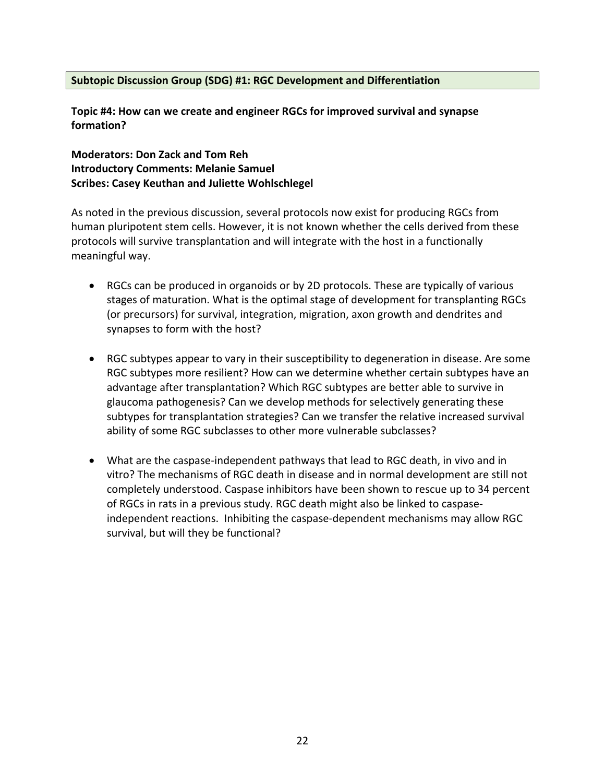#### **Subtopic Discussion Group (SDG) #1: RGC Development and Differentiation**

**Topic #4: How can we create and engineer RGCs for improved survival and synapse formation?**

**Moderators: Don Zack and Tom Reh Introductory Comments: Melanie Samuel Scribes: Casey Keuthan and Juliette Wohlschlegel**

As noted in the previous discussion, several protocols now exist for producing RGCs from human pluripotent stem cells. However, it is not known whether the cells derived from these protocols will survive transplantation and will integrate with the host in a functionally meaningful way.

- RGCs can be produced in organoids or by 2D protocols. These are typically of various stages of maturation. What is the optimal stage of development for transplanting RGCs (or precursors) for survival, integration, migration, axon growth and dendrites and synapses to form with the host?
- RGC subtypes appear to vary in their susceptibility to degeneration in disease. Are some RGC subtypes more resilient? How can we determine whether certain subtypes have an advantage after transplantation? Which RGC subtypes are better able to survive in glaucoma pathogenesis? Can we develop methods for selectively generating these subtypes for transplantation strategies? Can we transfer the relative increased survival ability of some RGC subclasses to other more vulnerable subclasses?
- What are the caspase-independent pathways that lead to RGC death, in vivo and in vitro? The mechanisms of RGC death in disease and in normal development are still not completely understood. Caspase inhibitors have been shown to rescue up to 34 percent of RGCs in rats in a previous study. RGC death might also be linked to caspaseindependent reactions. Inhibiting the caspase-dependent mechanisms may allow RGC survival, but will they be functional?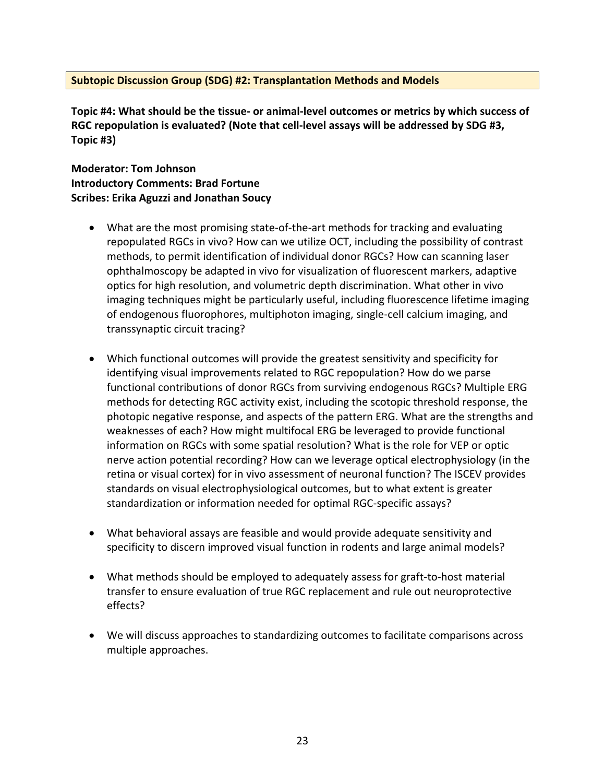#### **Subtopic Discussion Group (SDG) #2: Transplantation Methods and Models**

**Topic #4: What should be the tissue- or animal-level outcomes or metrics by which success of RGC repopulation is evaluated? (Note that cell-level assays will be addressed by SDG #3, Topic #3)**

**Moderator: Tom Johnson Introductory Comments: Brad Fortune Scribes: Erika Aguzzi and Jonathan Soucy**

- What are the most promising state-of-the-art methods for tracking and evaluating repopulated RGCs in vivo? How can we utilize OCT, including the possibility of contrast methods, to permit identification of individual donor RGCs? How can scanning laser ophthalmoscopy be adapted in vivo for visualization of fluorescent markers, adaptive optics for high resolution, and volumetric depth discrimination. What other in vivo imaging techniques might be particularly useful, including fluorescence lifetime imaging of endogenous fluorophores, multiphoton imaging, single-cell calcium imaging, and transsynaptic circuit tracing?
- Which functional outcomes will provide the greatest sensitivity and specificity for identifying visual improvements related to RGC repopulation? How do we parse functional contributions of donor RGCs from surviving endogenous RGCs? Multiple ERG methods for detecting RGC activity exist, including the scotopic threshold response, the photopic negative response, and aspects of the pattern ERG. What are the strengths and weaknesses of each? How might multifocal ERG be leveraged to provide functional information on RGCs with some spatial resolution? What is the role for VEP or optic nerve action potential recording? How can we leverage optical electrophysiology (in the retina or visual cortex) for in vivo assessment of neuronal function? The ISCEV provides standards on visual electrophysiological outcomes, but to what extent is greater standardization or information needed for optimal RGC-specific assays?
- What behavioral assays are feasible and would provide adequate sensitivity and specificity to discern improved visual function in rodents and large animal models?
- What methods should be employed to adequately assess for graft-to-host material transfer to ensure evaluation of true RGC replacement and rule out neuroprotective effects?
- We will discuss approaches to standardizing outcomes to facilitate comparisons across multiple approaches.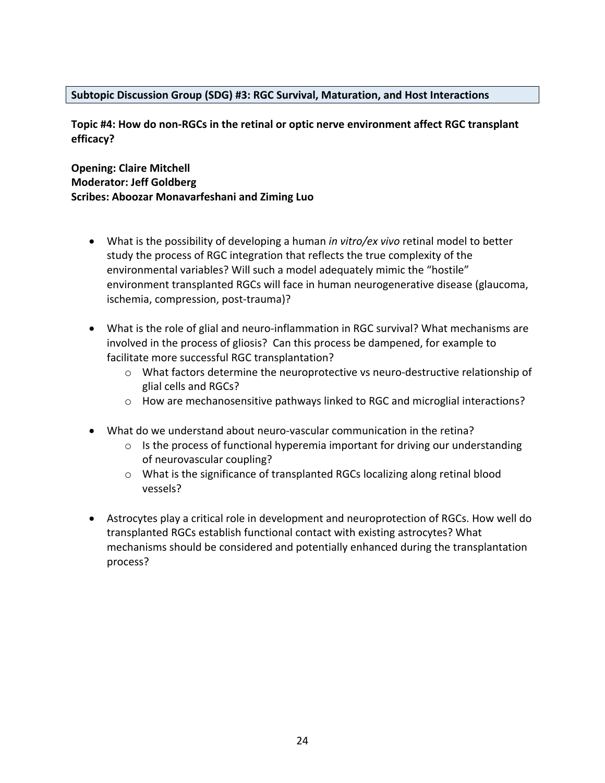#### **Subtopic Discussion Group (SDG) #3: RGC Survival, Maturation, and Host Interactions**

**Topic #4: How do non-RGCs in the retinal or optic nerve environment affect RGC transplant efficacy?**

#### **Opening: Claire Mitchell Moderator: Jeff Goldberg Scribes: Aboozar Monavarfeshani and Ziming Luo**

- What is the possibility of developing a human *in vitro/ex vivo* retinal model to better study the process of RGC integration that reflects the true complexity of the environmental variables? Will such a model adequately mimic the "hostile" environment transplanted RGCs will face in human neurogenerative disease (glaucoma, ischemia, compression, post-trauma)?
- What is the role of glial and neuro-inflammation in RGC survival? What mechanisms are involved in the process of gliosis? Can this process be dampened, for example to facilitate more successful RGC transplantation?
	- $\circ$  What factors determine the neuroprotective vs neuro-destructive relationship of glial cells and RGCs?
	- o How are mechanosensitive pathways linked to RGC and microglial interactions?
- What do we understand about neuro-vascular communication in the retina?
	- $\circ$  Is the process of functional hyperemia important for driving our understanding of neurovascular coupling?
	- o What is the significance of transplanted RGCs localizing along retinal blood vessels?
- Astrocytes play a critical role in development and neuroprotection of RGCs. How well do transplanted RGCs establish functional contact with existing astrocytes? What mechanisms should be considered and potentially enhanced during the transplantation process?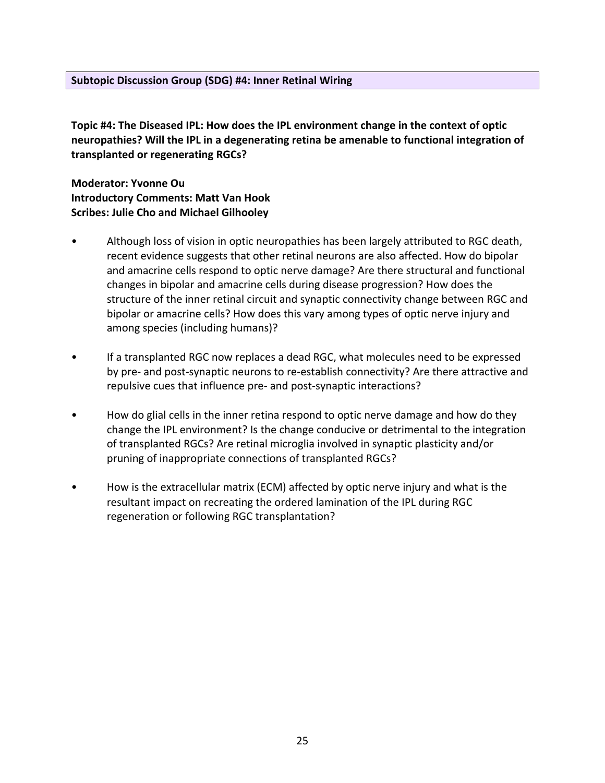#### **Subtopic Discussion Group (SDG) #4: Inner Retinal Wiring**

**Topic #4: The Diseased IPL: How does the IPL environment change in the context of optic neuropathies? Will the IPL in a degenerating retina be amenable to functional integration of transplanted or regenerating RGCs?** 

**Moderator: Yvonne Ou Introductory Comments: Matt Van Hook Scribes: Julie Cho and Michael Gilhooley**

- Although loss of vision in optic neuropathies has been largely attributed to RGC death, recent evidence suggests that other retinal neurons are also affected. How do bipolar and amacrine cells respond to optic nerve damage? Are there structural and functional changes in bipolar and amacrine cells during disease progression? How does the structure of the inner retinal circuit and synaptic connectivity change between RGC and bipolar or amacrine cells? How does this vary among types of optic nerve injury and among species (including humans)?
- If a transplanted RGC now replaces a dead RGC, what molecules need to be expressed by pre- and post-synaptic neurons to re-establish connectivity? Are there attractive and repulsive cues that influence pre- and post-synaptic interactions?
- How do glial cells in the inner retina respond to optic nerve damage and how do they change the IPL environment? Is the change conducive or detrimental to the integration of transplanted RGCs? Are retinal microglia involved in synaptic plasticity and/or pruning of inappropriate connections of transplanted RGCs?
- How is the extracellular matrix (ECM) affected by optic nerve injury and what is the resultant impact on recreating the ordered lamination of the IPL during RGC regeneration or following RGC transplantation?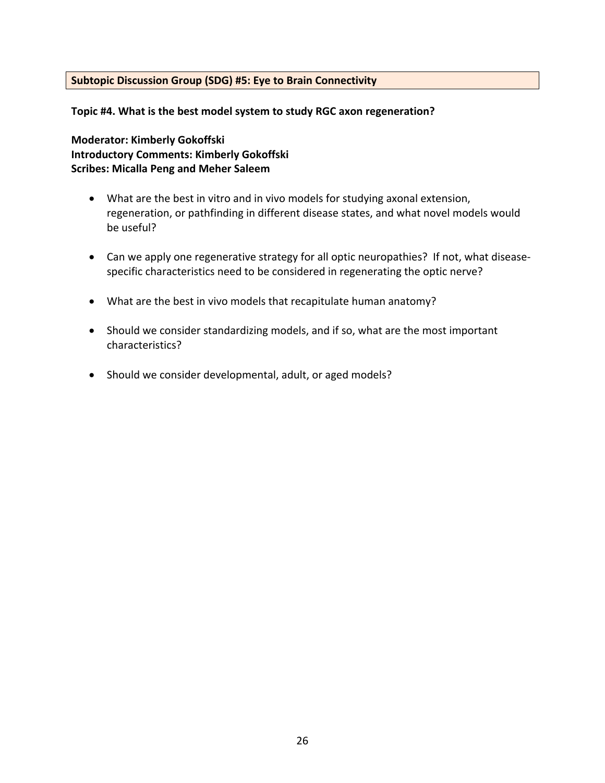#### **Subtopic Discussion Group (SDG) #5: Eye to Brain Connectivity**

**Topic #4. What is the best model system to study RGC axon regeneration?**

**Moderator: Kimberly Gokoffski Introductory Comments: Kimberly Gokoffski Scribes: Micalla Peng and Meher Saleem**

- What are the best in vitro and in vivo models for studying axonal extension, regeneration, or pathfinding in different disease states, and what novel models would be useful?
- Can we apply one regenerative strategy for all optic neuropathies? If not, what diseasespecific characteristics need to be considered in regenerating the optic nerve?
- What are the best in vivo models that recapitulate human anatomy?
- Should we consider standardizing models, and if so, what are the most important characteristics?
- Should we consider developmental, adult, or aged models?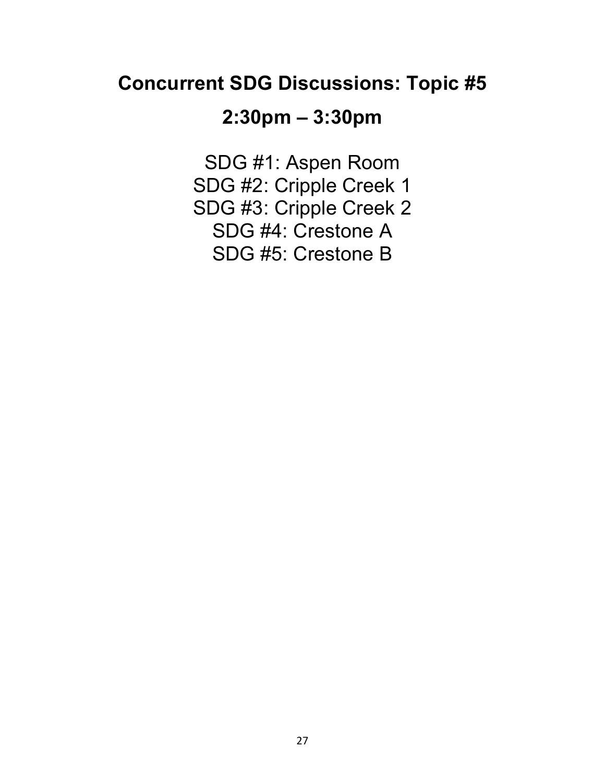## **Concurrent SDG Discussions: Topic #5**

### **2:30pm – 3:30pm**

SDG #1: Aspen Room SDG #2: Cripple Creek 1 SDG #3: Cripple Creek 2 SDG #4: Crestone A SDG #5: Crestone B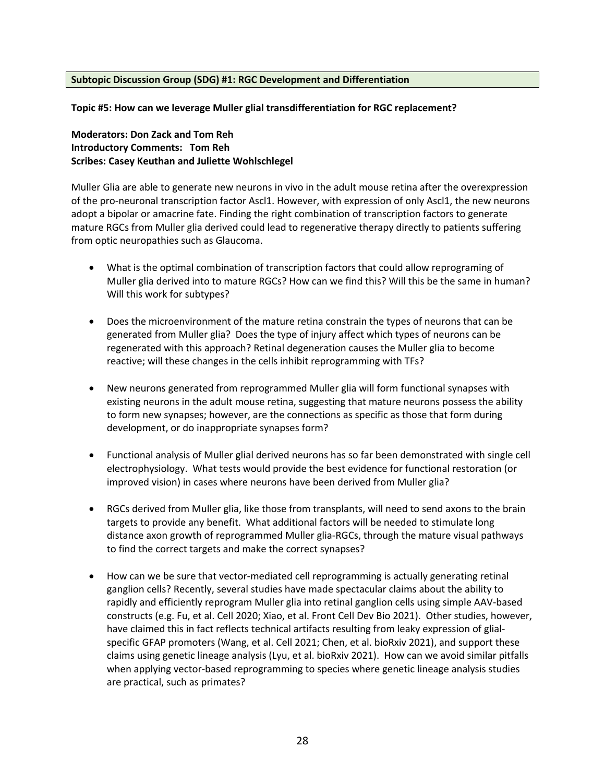#### **Subtopic Discussion Group (SDG) #1: RGC Development and Differentiation**

**Topic #5: How can we leverage Muller glial transdifferentiation for RGC replacement?**

**Moderators: Don Zack and Tom Reh Introductory Comments: Tom Reh Scribes: Casey Keuthan and Juliette Wohlschlegel**

Muller Glia are able to generate new neurons in vivo in the adult mouse retina after the overexpression of the pro-neuronal transcription factor Ascl1. However, with expression of only Ascl1, the new neurons adopt a bipolar or amacrine fate. Finding the right combination of transcription factors to generate mature RGCs from Muller glia derived could lead to regenerative therapy directly to patients suffering from optic neuropathies such as Glaucoma.

- What is the optimal combination of transcription factors that could allow reprograming of Muller glia derived into to mature RGCs? How can we find this? Will this be the same in human? Will this work for subtypes?
- Does the microenvironment of the mature retina constrain the types of neurons that can be generated from Muller glia? Does the type of injury affect which types of neurons can be regenerated with this approach? Retinal degeneration causes the Muller glia to become reactive; will these changes in the cells inhibit reprogramming with TFs?
- New neurons generated from reprogrammed Muller glia will form functional synapses with existing neurons in the adult mouse retina, suggesting that mature neurons possess the ability to form new synapses; however, are the connections as specific as those that form during development, or do inappropriate synapses form?
- Functional analysis of Muller glial derived neurons has so far been demonstrated with single cell electrophysiology. What tests would provide the best evidence for functional restoration (or improved vision) in cases where neurons have been derived from Muller glia?
- RGCs derived from Muller glia, like those from transplants, will need to send axons to the brain targets to provide any benefit. What additional factors will be needed to stimulate long distance axon growth of reprogrammed Muller glia-RGCs, through the mature visual pathways to find the correct targets and make the correct synapses?
- How can we be sure that vector-mediated cell reprogramming is actually generating retinal ganglion cells? Recently, several studies have made spectacular claims about the ability to rapidly and efficiently reprogram Muller glia into retinal ganglion cells using simple AAV-based constructs (e.g. Fu, et al. Cell 2020; Xiao, et al. Front Cell Dev Bio 2021). Other studies, however, have claimed this in fact reflects technical artifacts resulting from leaky expression of glialspecific GFAP promoters (Wang, et al. Cell 2021; Chen, et al. bioRxiv 2021), and support these claims using genetic lineage analysis (Lyu, et al. bioRxiv 2021). How can we avoid similar pitfalls when applying vector-based reprogramming to species where genetic lineage analysis studies are practical, such as primates?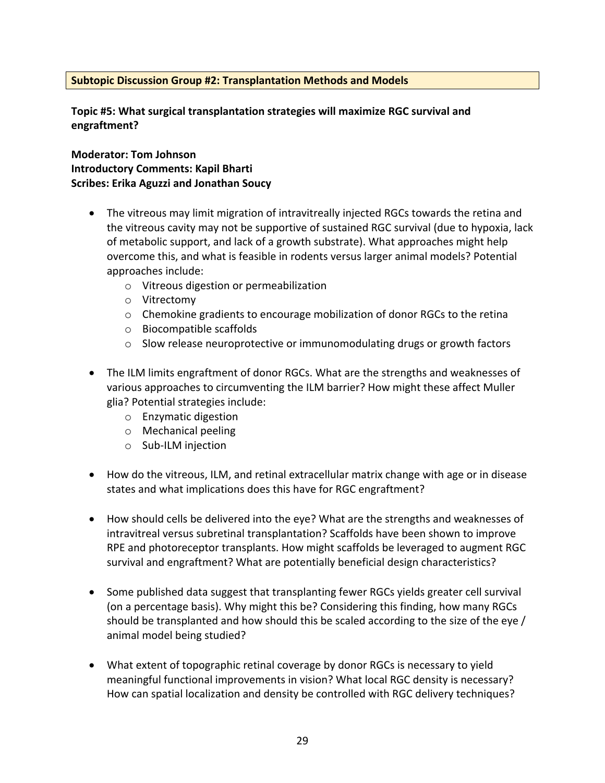#### **Subtopic Discussion Group #2: Transplantation Methods and Models**

**Topic #5: What surgical transplantation strategies will maximize RGC survival and engraftment?**

**Moderator: Tom Johnson Introductory Comments: Kapil Bharti Scribes: Erika Aguzzi and Jonathan Soucy**

- The vitreous may limit migration of intravitreally injected RGCs towards the retina and the vitreous cavity may not be supportive of sustained RGC survival (due to hypoxia, lack of metabolic support, and lack of a growth substrate). What approaches might help overcome this, and what is feasible in rodents versus larger animal models? Potential approaches include:
	- o Vitreous digestion or permeabilization
	- o Vitrectomy
	- $\circ$  Chemokine gradients to encourage mobilization of donor RGCs to the retina
	- o Biocompatible scaffolds
	- $\circ$  Slow release neuroprotective or immunomodulating drugs or growth factors
- The ILM limits engraftment of donor RGCs. What are the strengths and weaknesses of various approaches to circumventing the ILM barrier? How might these affect Muller glia? Potential strategies include:
	- o Enzymatic digestion
	- o Mechanical peeling
	- o Sub-ILM injection
- How do the vitreous, ILM, and retinal extracellular matrix change with age or in disease states and what implications does this have for RGC engraftment?
- How should cells be delivered into the eye? What are the strengths and weaknesses of intravitreal versus subretinal transplantation? Scaffolds have been shown to improve RPE and photoreceptor transplants. How might scaffolds be leveraged to augment RGC survival and engraftment? What are potentially beneficial design characteristics?
- Some published data suggest that transplanting fewer RGCs yields greater cell survival (on a percentage basis). Why might this be? Considering this finding, how many RGCs should be transplanted and how should this be scaled according to the size of the eye / animal model being studied?
- What extent of topographic retinal coverage by donor RGCs is necessary to yield meaningful functional improvements in vision? What local RGC density is necessary? How can spatial localization and density be controlled with RGC delivery techniques?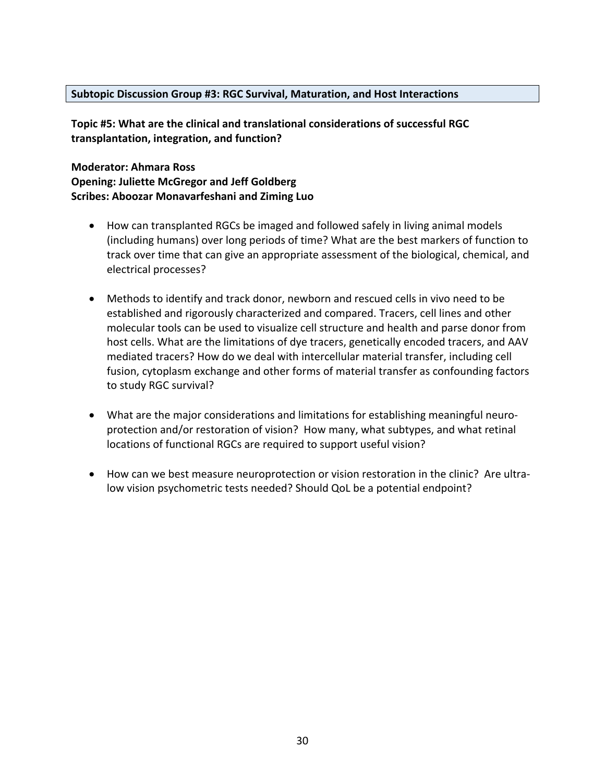#### **Subtopic Discussion Group #3: RGC Survival, Maturation, and Host Interactions**

**Topic #5: What are the clinical and translational considerations of successful RGC transplantation, integration, and function?**

**Moderator: Ahmara Ross Opening: Juliette McGregor and Jeff Goldberg Scribes: Aboozar Monavarfeshani and Ziming Luo**

- How can transplanted RGCs be imaged and followed safely in living animal models (including humans) over long periods of time? What are the best markers of function to track over time that can give an appropriate assessment of the biological, chemical, and electrical processes?
- Methods to identify and track donor, newborn and rescued cells in vivo need to be established and rigorously characterized and compared. Tracers, cell lines and other molecular tools can be used to visualize cell structure and health and parse donor from host cells. What are the limitations of dye tracers, genetically encoded tracers, and AAV mediated tracers? How do we deal with intercellular material transfer, including cell fusion, cytoplasm exchange and other forms of material transfer as confounding factors to study RGC survival?
- What are the major considerations and limitations for establishing meaningful neuroprotection and/or restoration of vision? How many, what subtypes, and what retinal locations of functional RGCs are required to support useful vision?
- How can we best measure neuroprotection or vision restoration in the clinic? Are ultralow vision psychometric tests needed? Should QoL be a potential endpoint?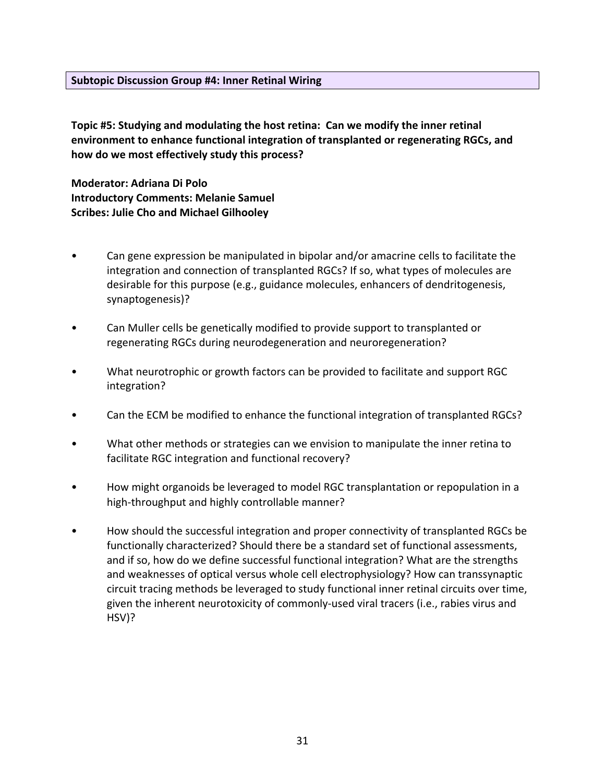#### **Subtopic Discussion Group #4: Inner Retinal Wiring**

**Topic #5: Studying and modulating the host retina: Can we modify the inner retinal environment to enhance functional integration of transplanted or regenerating RGCs, and how do we most effectively study this process?** 

**Moderator: Adriana Di Polo Introductory Comments: Melanie Samuel Scribes: Julie Cho and Michael Gilhooley**

- Can gene expression be manipulated in bipolar and/or amacrine cells to facilitate the integration and connection of transplanted RGCs? If so, what types of molecules are desirable for this purpose (e.g., guidance molecules, enhancers of dendritogenesis, synaptogenesis)?
- Can Muller cells be genetically modified to provide support to transplanted or regenerating RGCs during neurodegeneration and neuroregeneration?
- What neurotrophic or growth factors can be provided to facilitate and support RGC integration?
- Can the ECM be modified to enhance the functional integration of transplanted RGCs?
- What other methods or strategies can we envision to manipulate the inner retina to facilitate RGC integration and functional recovery?
- How might organoids be leveraged to model RGC transplantation or repopulation in a high-throughput and highly controllable manner?
- How should the successful integration and proper connectivity of transplanted RGCs be functionally characterized? Should there be a standard set of functional assessments, and if so, how do we define successful functional integration? What are the strengths and weaknesses of optical versus whole cell electrophysiology? How can transsynaptic circuit tracing methods be leveraged to study functional inner retinal circuits over time, given the inherent neurotoxicity of commonly-used viral tracers (i.e., rabies virus and HSV)?